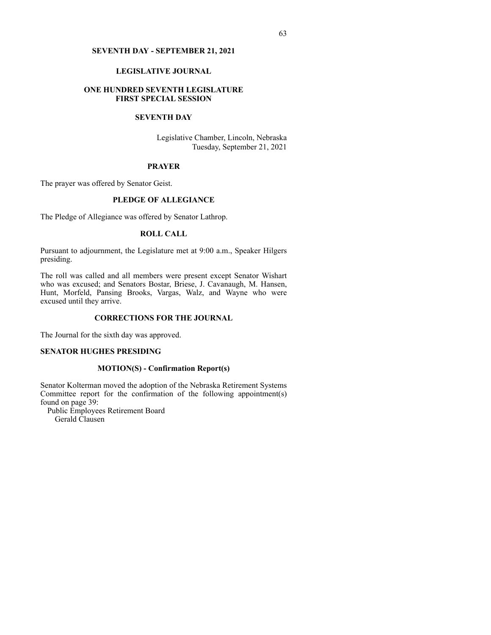### **SEVENTH DAY - SEPTEMBER 21, 2021**

### **LEGISLATIVE JOURNAL**

### **ONE HUNDRED SEVENTH LEGISLATURE FIRST SPECIAL SESSION**

# **SEVENTH DAY**

Legislative Chamber, Lincoln, Nebraska Tuesday, September 21, 2021

### **PRAYER**

The prayer was offered by Senator Geist.

### **PLEDGE OF ALLEGIANCE**

The Pledge of Allegiance was offered by Senator Lathrop.

# **ROLL CALL**

Pursuant to adjournment, the Legislature met at 9:00 a.m., Speaker Hilgers presiding.

The roll was called and all members were present except Senator Wishart who was excused; and Senators Bostar, Briese, J. Cavanaugh, M. Hansen, Hunt, Morfeld, Pansing Brooks, Vargas, Walz, and Wayne who were excused until they arrive.

## **CORRECTIONS FOR THE JOURNAL**

The Journal for the sixth day was approved.

#### **SENATOR HUGHES PRESIDING**

### **MOTION(S) - Confirmation Report(s)**

Senator Kolterman moved the adoption of the Nebraska Retirement Systems Committee report for the confirmation of the following appointment(s) found on page 39:

Public Employees Retirement Board Gerald Clausen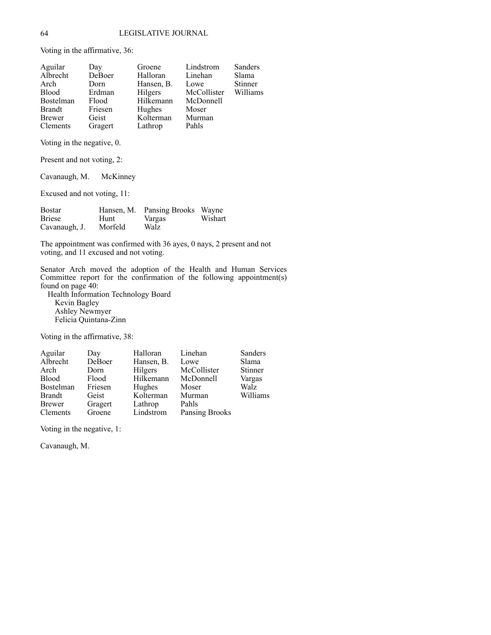Voting in the affirmative, 36:

| Aguilar       | Day     | Groene     | Lindstrom   | Sanders        |
|---------------|---------|------------|-------------|----------------|
| Albrecht      | DeBoer  | Halloran   | Linehan     | Slama          |
| Arch          | Dorn    | Hansen, B. | Lowe        | <b>Stinner</b> |
| <b>Blood</b>  | Erdman  | Hilgers    | McCollister | Williams       |
| Bostelman     | Flood   | Hilkemann  | McDonnell   |                |
| <b>Brandt</b> | Friesen | Hughes     | Moser       |                |
| Brewer        | Geist   | Kolterman  | Murman      |                |
| Clements      | Gragert | Lathrop    | Pahls       |                |
|               |         |            |             |                |

Voting in the negative, 0.

Present and not voting, 2:

Cavanaugh, M. McKinney

Excused and not voting, 11:

| Bostar        |         | Hansen, M. Pansing Brooks Wayne |         |
|---------------|---------|---------------------------------|---------|
| <b>Briese</b> | Hunt    | Vargas                          | Wishart |
| Cavanaugh, J. | Morfeld | Walz                            |         |

The appointment was confirmed with 36 ayes, 0 nays, 2 present and not voting, and 11 excused and not voting.

Senator Arch moved the adoption of the Health and Human Services Committee report for the confirmation of the following appointment(s) found on page 40:

Health Information Technology Board Kevin Bagley Ashley Newmyer Felicia Quintana-Zinn

Voting in the affirmative, 38:

| Aguilar         | Day     | Halloran   | Linehan        | Sanders  |
|-----------------|---------|------------|----------------|----------|
| Albrecht        | DeBoer  | Hansen, B. | Lowe           | Slama    |
| Arch            | Dorn    | Hilgers    | McCollister    | Stinner  |
| <b>Blood</b>    | Flood   | Hilkemann  | McDonnell      | Vargas   |
| Bostelman       | Friesen | Hughes     | Moser          | Walz     |
| <b>Brandt</b>   | Geist   | Kolterman  | Murman         | Williams |
| Brewer          | Gragert | Lathrop    | Pahls          |          |
| <b>Clements</b> | Groene  | Lindstrom  | Pansing Brooks |          |

Voting in the negative, 1:

Cavanaugh, M.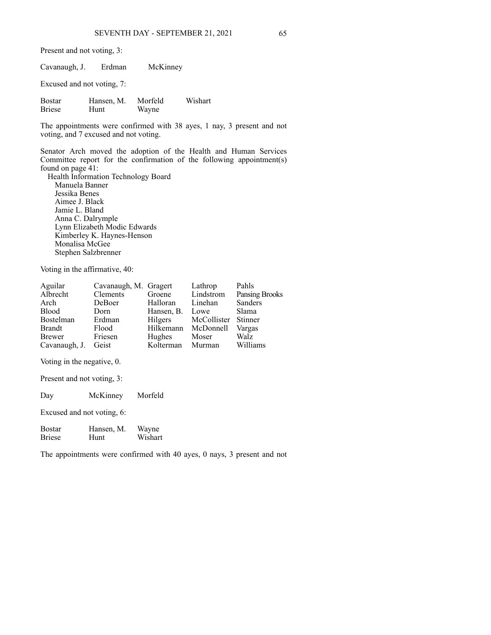Present and not voting, 3:

| Cavanaugh, J.                  | Erdman             | McKinney         |         |
|--------------------------------|--------------------|------------------|---------|
| Excused and not voting, 7:     |                    |                  |         |
| <b>Bostar</b><br><b>Briese</b> | Hansen, M.<br>Hunt | Morfeld<br>Wayne | Wishart |

The appointments were confirmed with 38 ayes, 1 nay, 3 present and not voting, and 7 excused and not voting.

Senator Arch moved the adoption of the Health and Human Services Committee report for the confirmation of the following appointment(s) found on page 41: Health Information Technology Board

Manuela Banner Jessika Benes Aimee J. Black Jamie L. Bland Anna C. Dalrymple Lynn Elizabeth Modic Edwards Kimberley K. Haynes-Henson Monalisa McGee Stephen Salzbrenner

Voting in the affirmative, 40:

|          |               | Lathrop               | Pahls                                                                  |
|----------|---------------|-----------------------|------------------------------------------------------------------------|
| Clements | Groene        | Lindstrom             | <b>Pansing Brooks</b>                                                  |
| DeBoer   | Halloran      | Linehan               | Sanders                                                                |
| Dorn     | Hansen, B.    | Lowe                  | Slama                                                                  |
| Erdman   |               |                       |                                                                        |
| Flood    |               |                       | Vargas                                                                 |
| Friesen  | Hughes        | Moser                 | <b>Walz</b>                                                            |
| Geist    |               |                       | Williams                                                               |
|          | Cavanaugh, J. | Cavanaugh, M. Gragert | Hilgers McCollister Stinner<br>Hilkemann McDonnell<br>Kolterman Murman |

Voting in the negative, 0.

Present and not voting, 3:

| McKinnev | Morfeld |
|----------|---------|
|          |         |

Excused and not voting, 6:

Bostar Hansen, M. Wayne<br>Briese Hunt Wishar Wishart

The appointments were confirmed with 40 ayes, 0 nays, 3 present and not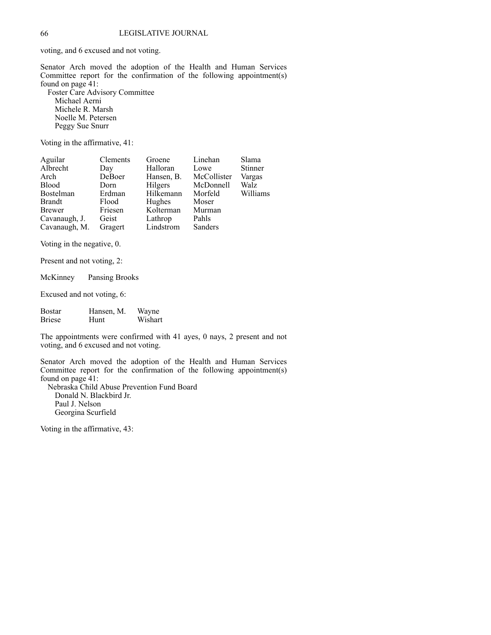voting, and 6 excused and not voting.

Senator Arch moved the adoption of the Health and Human Services Committee report for the confirmation of the following appointment(s) found on page 41:

Foster Care Advisory Committee Michael Aerni Michele R. Marsh Noelle M. Petersen Peggy Sue Snurr

Voting in the affirmative, 41:

| Aguilar       | Clements | Groene     | Linehan     | Slama    |
|---------------|----------|------------|-------------|----------|
| Albrecht      | Day      | Halloran   | Lowe        | Stinner  |
| Arch          | DeBoer   | Hansen, B. | McCollister | Vargas   |
| <b>Blood</b>  | Dorn     | Hilgers    | McDonnell   | Walz     |
| Bostelman     | Erdman   | Hilkemann  | Morfeld     | Williams |
| Brandt        | Flood    | Hughes     | Moser       |          |
| <b>Brewer</b> | Friesen  | Kolterman  | Murman      |          |
| Cavanaugh, J. | Geist    | Lathrop    | Pahls       |          |
| Cavanaugh, M. | Gragert  | Lindstrom  | Sanders     |          |

Voting in the negative, 0.

Present and not voting, 2:

McKinney Pansing Brooks

Excused and not voting, 6:

| <b>Bostar</b> | Hansen, M.  | Wayne   |
|---------------|-------------|---------|
| <b>Briese</b> | <b>Hunt</b> | Wishart |

The appointments were confirmed with 41 ayes, 0 nays, 2 present and not voting, and 6 excused and not voting.

Senator Arch moved the adoption of the Health and Human Services Committee report for the confirmation of the following appointment(s) found on page 41:

Nebraska Child Abuse Prevention Fund Board Donald N. Blackbird Jr. Paul J. Nelson Georgina Scurfield

Voting in the affirmative, 43: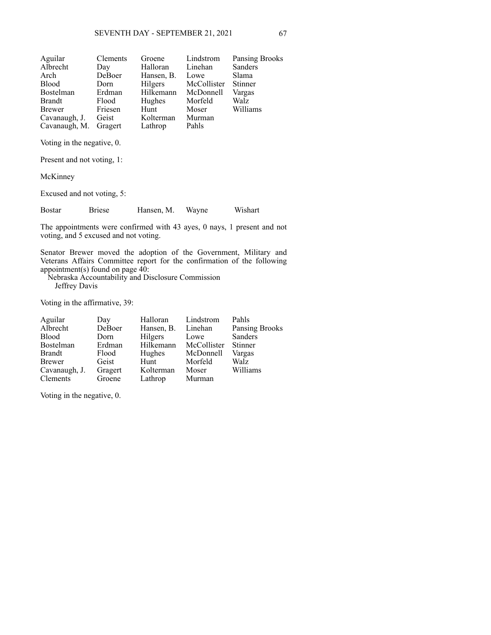| Clements              | Groene     |                     | <b>Pansing Brooks</b>             |
|-----------------------|------------|---------------------|-----------------------------------|
| Day                   | Halloran   |                     | Sanders                           |
| DeBoer                | Hansen, B. | Lowe                | Slama                             |
| Dorn                  | Hilgers    | McCollister Stinner |                                   |
| Erdman                | Hilkemann  |                     | Vargas                            |
| Flood                 | Hughes     | Morfeld             | Walz                              |
| Friesen               | Hunt       | Moser               | Williams                          |
| Geist                 | Kolterman  | Murman              |                                   |
| Cavanaugh, M. Gragert | Lathrop    | Pahls               |                                   |
|                       |            |                     | Lindstrom<br>Linehan<br>McDonnell |

Voting in the negative, 0.

Present and not voting, 1:

McKinney

Excused and not voting, 5:

Bostar Briese Hansen, M. Wayne Wishart

The appointments were confirmed with 43 ayes, 0 nays, 1 present and not voting, and 5 excused and not voting.

Senator Brewer moved the adoption of the Government, Military and Veterans Affairs Committee report for the confirmation of the following appointment(s) found on page  $40$ :

Nebraska Accountability and Disclosure Commission Jeffrey Davis

Voting in the affirmative, 39:

| Aguilar         | Day     | Halloran           | Lindstrom           | Pahls                 |
|-----------------|---------|--------------------|---------------------|-----------------------|
| Albrecht        | DeBoer  | Hansen, B. Linehan |                     | <b>Pansing Brooks</b> |
| Blood           | Dorn    | Hilgers            | Lowe                | Sanders               |
| Bostelman       | Erdman  | Hilkemann          | McCollister Stinner |                       |
| <b>Brandt</b>   | Flood   | Hughes             | McDonnell           | Vargas                |
| Brewer          | Geist   | Hunt               | Morfeld             | Walz                  |
| Cavanaugh, J.   | Gragert | Kolterman          | Moser               | Williams              |
| <b>Clements</b> | Groene  | Lathrop            | Murman              |                       |

Voting in the negative, 0.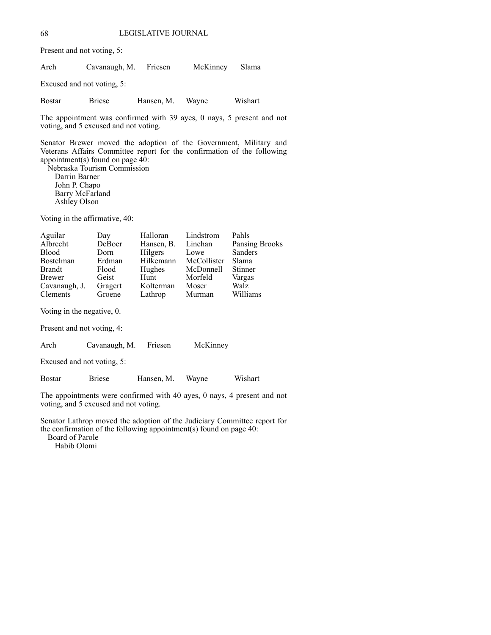Present and not voting, 5:

Arch Cavanaugh, M. Friesen McKinney Slama

Excused and not voting, 5:

Bostar Briese Hansen, M. Wayne Wishart

The appointment was confirmed with 39 ayes, 0 nays, 5 present and not voting, and 5 excused and not voting.

Senator Brewer moved the adoption of the Government, Military and Veterans Affairs Committee report for the confirmation of the following appointment(s) found on page  $4\overline{0}$ : Nebraska Tourism Commission

Darrin Barner John P. Chapo Barry McFarland Ashley Olson

Voting in the affirmative, 40:

| Aguilar       | Day     | Halloran   | Lindstrom   | Pahls                 |
|---------------|---------|------------|-------------|-----------------------|
| Albrecht      | DeBoer  | Hansen, B. | Linehan     | <b>Pansing Brooks</b> |
| <b>Blood</b>  | Dorn    | Hilgers    | Lowe        | Sanders               |
| Bostelman     | Erdman  | Hilkemann  | McCollister | Slama                 |
| Brandt        | Flood   | Hughes     | McDonnell   | <b>Stinner</b>        |
| <b>Brewer</b> | Geist   | Hunt       | Morfeld     | Vargas                |
| Cavanaugh, J. | Gragert | Kolterman  | Moser       | Walz                  |
| Clements      | Groene  | Lathrop    | Murman      | Williams              |
|               |         |            |             |                       |

Voting in the negative, 0.

Present and not voting, 4:

Arch Cavanaugh, M. Friesen McKinney

Excused and not voting, 5:

Bostar Briese Hansen, M. Wayne Wishart

The appointments were confirmed with 40 ayes, 0 nays, 4 present and not voting, and 5 excused and not voting.

Senator Lathrop moved the adoption of the Judiciary Committee report for the confirmation of the following appointment(s) found on page 40:

Board of Parole

Habib Olomi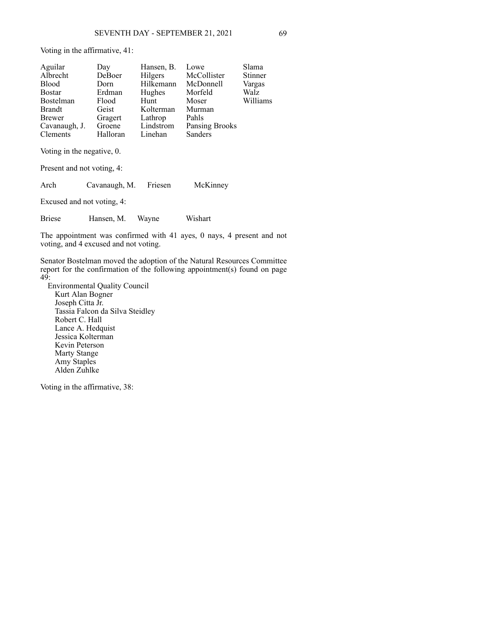Voting in the affirmative, 41:

| Aguilar                    | Day      | Hansen, B. | Lowe                  | Slama    |
|----------------------------|----------|------------|-----------------------|----------|
| Albrecht                   | DeBoer   | Hilgers    | McCollister           | Stinner  |
| <b>Blood</b>               | Dorn     | Hilkemann  | McDonnell             | Vargas   |
| <b>Bostar</b>              | Erdman   | Hughes     | Morfeld               | Walz     |
| Bostelman                  | Flood    | Hunt       | Moser                 | Williams |
| <b>Brandt</b>              | Geist    | Kolterman  | Murman                |          |
| <b>Brewer</b>              | Gragert  | Lathrop    | Pahls                 |          |
| Cavanaugh, J.              | Groene   | Lindstrom  | <b>Pansing Brooks</b> |          |
| Clements                   | Halloran | Linehan    | Sanders               |          |
| Voting in the negative, 0. |          |            |                       |          |

Present and not voting, 4: Arch Cavanaugh, M. Friesen McKinney Excused and not voting, 4: Briese Hansen, M. Wayne Wishart

The appointment was confirmed with 41 ayes, 0 nays, 4 present and not voting, and 4 excused and not voting.

Senator Bostelman moved the adoption of the Natural Resources Committee report for the confirmation of the following appointment(s) found on page 49:

Environmental Quality Council Kurt Alan Bogner Joseph Citta Jr. Tassia Falcon da Silva Steidley Robert C. Hall Lance A. Hedquist Jessica Kolterman Kevin Peterson Marty Stange Amy Staples Alden Zuhlke

Voting in the affirmative, 38: